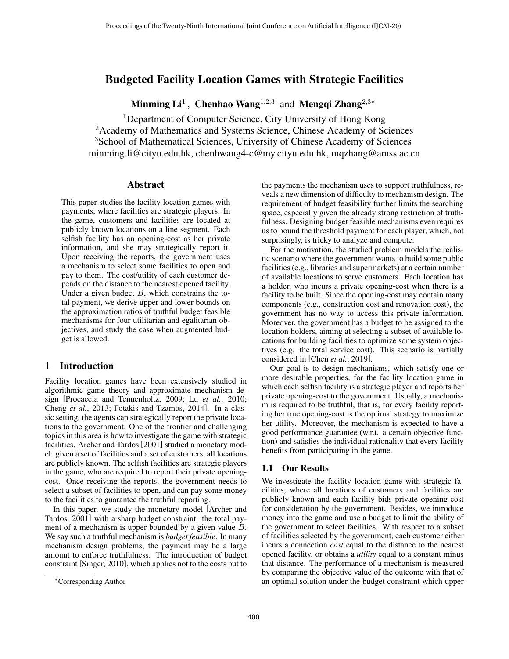# Budgeted Facility Location Games with Strategic Facilities

Minming Li<sup>1</sup>, Chenhao Wang<sup>1,2,3</sup> and Mengqi Zhang<sup>2,3</sup>\*

<sup>1</sup>Department of Computer Science, City University of Hong Kong <sup>2</sup> Academy of Mathematics and Systems Science, Chinese Academy of Sciences <sup>3</sup>School of Mathematical Sciences, University of Chinese Academy of Sciences minming.li@cityu.edu.hk, chenhwang4-c@my.cityu.edu.hk, mqzhang@amss.ac.cn

### Abstract

This paper studies the facility location games with payments, where facilities are strategic players. In the game, customers and facilities are located at publicly known locations on a line segment. Each selfish facility has an opening-cost as her private information, and she may strategically report it. Upon receiving the reports, the government uses a mechanism to select some facilities to open and pay to them. The cost/utility of each customer depends on the distance to the nearest opened facility. Under a given budget  $B$ , which constrains the total payment, we derive upper and lower bounds on the approximation ratios of truthful budget feasible mechanisms for four utilitarian and egalitarian objectives, and study the case when augmented budget is allowed.

### 1 Introduction

Facility location games have been extensively studied in algorithmic game theory and approximate mechanism design [\[Procaccia and Tennenholtz, 2009;](#page-6-0) Lu *et al.*[, 2010;](#page-6-1) Cheng *et al.*[, 2013;](#page-6-2) [Fotakis and Tzamos, 2014\]](#page-6-3). In a classic setting, the agents can strategically report the private locations to the government. One of the frontier and challenging topics in this area is how to investigate the game with strategic facilities. Archer and Tardos [\[2001\]](#page-6-4) studied a monetary model: given a set of facilities and a set of customers, all locations are publicly known. The selfish facilities are strategic players in the game, who are required to report their private openingcost. Once receiving the reports, the government needs to select a subset of facilities to open, and can pay some money to the facilities to guarantee the truthful reporting.

In this paper, we study the monetary model [\[Archer and](#page-6-4) [Tardos, 2001\]](#page-6-4) with a sharp budget constraint: the total payment of a mechanism is upper bounded by a given value B. We say such a truthful mechanism is *budget feasible*. In many mechanism design problems, the payment may be a large amount to enforce truthfulness. The introduction of budget constraint [\[Singer, 2010\]](#page-6-5), which applies not to the costs but to the payments the mechanism uses to support truthfulness, reveals a new dimension of difficulty to mechanism design. The requirement of budget feasibility further limits the searching space, especially given the already strong restriction of truthfulness. Designing budget feasible mechanisms even requires us to bound the threshold payment for each player, which, not surprisingly, is tricky to analyze and compute.

For the motivation, the studied problem models the realistic scenario where the government wants to build some public facilities (e.g., libraries and supermarkets) at a certain number of available locations to serve customers. Each location has a holder, who incurs a private opening-cost when there is a facility to be built. Since the opening-cost may contain many components (e.g., construction cost and renovation cost), the government has no way to access this private information. Moreover, the government has a budget to be assigned to the location holders, aiming at selecting a subset of available locations for building facilities to optimize some system objectives (e.g. the total service cost). This scenario is partially considered in [Chen *et al.*[, 2019\]](#page-6-6).

Our goal is to design mechanisms, which satisfy one or more desirable properties, for the facility location game in which each selfish facility is a strategic player and reports her private opening-cost to the government. Usually, a mechanism is required to be truthful, that is, for every facility reporting her true opening-cost is the optimal strategy to maximize her utility. Moreover, the mechanism is expected to have a good performance guarantee (w.r.t. a certain objective function) and satisfies the individual rationality that every facility benefits from participating in the game.

### 1.1 Our Results

We investigate the facility location game with strategic facilities, where all locations of customers and facilities are publicly known and each facility bids private opening-cost for consideration by the government. Besides, we introduce money into the game and use a budget to limit the ability of the government to select facilities. With respect to a subset of facilities selected by the government, each customer either incurs a connection *cost* equal to the distance to the nearest opened facility, or obtains a *utility* equal to a constant minus that distance. The performance of a mechanism is measured by comparing the objective value of the outcome with that of an optimal solution under the budget constraint which upper

<sup>∗</sup>Corresponding Author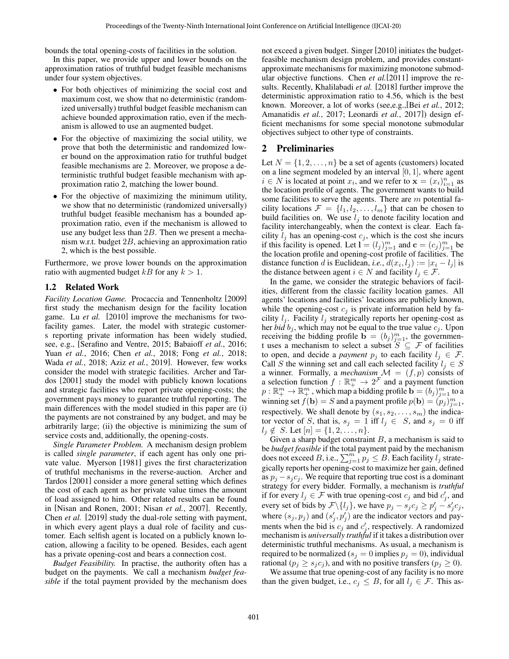bounds the total opening-costs of facilities in the solution.

In this paper, we provide upper and lower bounds on the approximation ratios of truthful budget feasible mechanisms under four system objectives.

- For both objectives of minimizing the social cost and maximum cost, we show that no deterministic (randomized universally) truthful budget feasible mechanism can achieve bounded approximation ratio, even if the mechanism is allowed to use an augmented budget.
- For the objective of maximizing the social utility, we prove that both the deterministic and randomized lower bound on the approximation ratio for truthful budget feasible mechanisms are 2. Moreover, we propose a deterministic truthful budget feasible mechanism with approximation ratio 2, matching the lower bound.
- For the objective of maximizing the minimum utility, we show that no deterministic (randomized universally) truthful budget feasible mechanism has a bounded approximation ratio, even if the mechanism is allowed to use any budget less than 2B. Then we present a mechanism w.r.t. budget 2B, achieving an approximation ratio 2, which is the best possible.

Furthermore, we prove lower bounds on the approximation ratio with augmented budget kB for any  $k > 1$ .

#### 1.2 Related Work

*Facility Location Game.* Procaccia and Tennenholtz [\[2009\]](#page-6-0) first study the mechanism design for the facility location game. Lu *et al.* [\[2010\]](#page-6-1) improve the mechanisms for twofacility games. Later, the model with strategic customers reporting private information has been widely studied, see, e.g., [\[Serafino and Ventre, 2015;](#page-6-7) [Babaioff](#page-6-8) *et al.*, 2016; Yuan *et al.*[, 2016;](#page-6-9) Chen *et al.*[, 2018;](#page-6-10) Fong *et al.*[, 2018;](#page-6-11) Wada *et al.*[, 2018;](#page-6-12) Aziz *et al.*[, 2019\]](#page-6-13). However, few works consider the model with strategic facilities. Archer and Tardos [\[2001\]](#page-6-4) study the model with publicly known locations and strategic facilities who report private opening-costs; the government pays money to guarantee truthful reporting. The main differences with the model studied in this paper are (i) the payments are not constrained by any budget, and may be arbitrarily large; (ii) the objective is minimizing the sum of service costs and, additionally, the opening-costs.

*Single Parameter Problem.* A mechanism design problem is called *single parameter*, if each agent has only one private value. Myerson [\[1981\]](#page-6-14) gives the first characterization of truthful mechanisms in the reverse-auction. Archer and Tardos [\[2001\]](#page-6-4) consider a more general setting which defines the cost of each agent as her private value times the amount of load assigned to him. Other related results can be found in [\[Nisan and Ronen, 2001;](#page-6-15) Nisan *et al.*[, 2007\]](#page-6-16). Recently, Chen *et al.* [\[2019\]](#page-6-6) study the dual-role setting with payment, in which every agent plays a dual role of facility and customer. Each selfish agent is located on a publicly known location, allowing a facility to be opened. Besides, each agent has a private opening-cost and bears a connection cost.

*Budget Feasibility.* In practise, the authority often has a budget on the payments. We call a mechanism *budget feasible* if the total payment provided by the mechanism does not exceed a given budget. Singer [\[2010\]](#page-6-5) initiates the budgetfeasible mechanism design problem, and provides constantapproximate mechanisms for maximizing monotone submodular objective functions. Chen *et al.*[\[2011\]](#page-6-17) improve the results. Recently, Khalilabadi *et al.* [\[2018\]](#page-6-18) further improve the deterministic approximation ratio to 4.56, which is the best known. Moreover, a lot of works (see,e.g.,[Bei *et al.*[, 2012;](#page-6-19) [Amanatidis](#page-6-20) *et al.*, 2017; [Leonardi](#page-6-21) *et al.*, 2017]) design efficient mechanisms for some special monotone submodular objectives subject to other type of constraints.

### 2 Preliminaries

Let  $N = \{1, 2, \ldots, n\}$  be a set of agents (customers) located on a line segment modeled by an interval  $[0, 1]$ , where agent  $i \in N$  is located at point  $x_i$ , and we refer to  $\mathbf{x} = (x_i)_{i=1}^n$  as the location profile of agents. The government wants to build some facilities to serve the agents. There are  $m$  potential facility locations  $\mathcal{F} = \{l_1, l_2, \ldots, l_m\}$  that can be chosen to build facilities on. We use  $l_j$  to denote facility location and facility interchangeably, when the context is clear. Each facility  $l_j$  has an opening-cost  $c_j$ , which is the cost she incurs if this facility is opened. Let  $\mathbf{l} = (l_j)_{j=1}^m$  and  $\mathbf{c} = (c_j)_{j=1}^m$  be the location profile and opening-cost profile of facilities. The distance function d is Euclidean, *i.e.*,  $d(x_i, l_j) := |x_i - l_j|$  is the distance between agent  $i \in N$  and facility  $l_j \in \mathcal{F}$ .

In the game, we consider the strategic behaviors of facilities, different from the classic facility location games. All agents' locations and facilities' locations are publicly known, while the opening-cost  $c_i$  is private information held by facility  $l_j$ . Facility  $l_j$  strategically reports her opening-cost as her *bid*  $b_j$ , which may not be equal to the true value  $c_j$ . Upon receiving the bidding profile  $\mathbf{b} = (b_j)_{j=1}^m$ , the government uses a mechanism to select a subset  $S \subseteq \mathcal{F}$  of facilities to open, and decide a *payment*  $p_j$  to each facility  $l_j \in \mathcal{F}$ . Call S the winning set and call each selected facility  $l_i \in S$ a winner. Formally, a *mechanism*  $\mathcal{M} = (f, p)$  consists of a selection function  $f : \mathbb{R}^m_+ \to 2^{\mathcal{F}}$  and a payment function  $p: \mathbb{R}^m_+ \to \mathbb{R}^m_+$ , which map a bidding profile  $\mathbf{b} = (b_j)_{j=1}^m$  to a winning set  $f(\mathbf{b}) = S$  and a payment profile  $p(\mathbf{b}) = (p_j)_{j=1}^m$ , respectively. We shall denote by  $(s_1, s_2, \ldots, s_m)$  the indicator vector of S, that is,  $s_j = 1$  iff  $l_j \in S$ , and  $s_j = 0$  iff  $l_i \notin S$ . Let  $[n] = \{1, 2, \ldots, n\}.$ 

Given a sharp budget constraint  $B$ , a mechanism is said to be *budget feasible* if the total payment paid by the mechanism does not exceed B, i.e.,  $\sum_{j=1}^{m} p_j \leq B$ . Each facility  $l_j$  strategically reports her opening-cost to maximize her gain, defined as  $p_j - s_j c_j$ . We require that reporting true cost is a dominant strategy for every bidder. Formally, a mechanism is *truthful* if for every  $l_j \in \mathcal{F}$  with true opening-cost  $c_j$  and bid  $c'_j$ , and every set of bids by  $\mathcal{F} \setminus \{l_j\}$ , we have  $p_j - s_j c_j \ge p'_j - s'_j c_j$ , where  $(s_j, p_j)$  and  $(s'_j, p'_j)$  are the indicator vectors and payments when the bid is  $c_j$  and  $c'_j$ , respectively. A randomized mechanism is *universally truthful* if it takes a distribution over deterministic truthful mechanisms. As usual, a mechanism is required to be normalized ( $s_j = 0$  implies  $p_j = 0$ ), individual rational ( $p_j \geq s_j c_j$ ), and with no positive transfers ( $p_j \geq 0$ ).

We assume that true opening-cost of any facility is no more than the given budget, i.e.,  $c_j \leq B$ , for all  $l_j \in \mathcal{F}$ . This as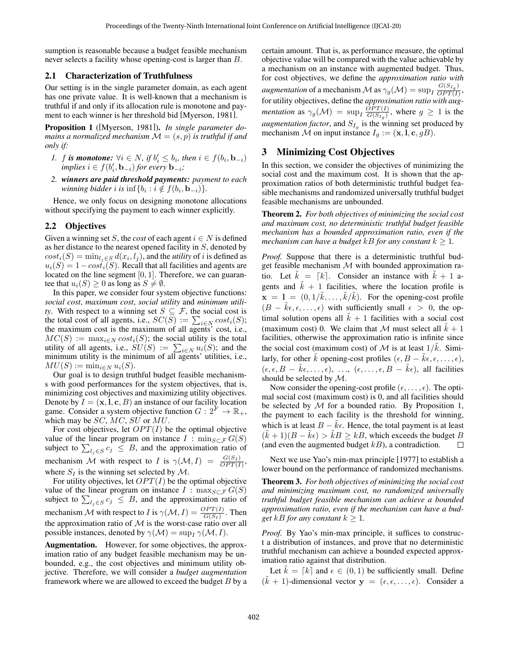sumption is reasonable because a budget feasible mechanism never selects a facility whose opening-cost is larger than B.

#### 2.1 Characterization of Truthfulness

Our setting is in the single parameter domain, as each agent has one private value. It is well-known that a mechanism is truthful if and only if its allocation rule is monotone and payment to each winner is her threshold bid [\[Myerson, 1981\]](#page-6-14).

<span id="page-2-1"></span>Proposition 1 ([\[Myerson, 1981\]](#page-6-14)). *In single parameter domains a normalized mechanism*  $\mathcal{M} = (s, p)$  *is truthful if and only if:*

- *1. f* is monotone:  $\forall i \in N$ , if  $b'_i \leq b_i$ , then  $i \in f(b_i, \mathbf{b}_{-i})$  $\mathit{implies} \ i \in f(b'_i, \mathbf{b}_{-i}) \ \mathit{for} \ \mathit{every} \ \mathbf{b}_{-i}$ ;
- *2. winners are paid threshold payments: payment to each winning bidder i* is  $\inf\{b_i : i \notin f(b_i, \mathbf{b}_{-i})\}.$

Hence, we only focus on designing monotone allocations without specifying the payment to each winner explicitly.

#### 2.2 Objectives

Given a winning set S, the *cost* of each agent  $i \in N$  is defined as her distance to the nearest opened facility in S, denoted by  $cost_i(S) = \min_{l_j \in S} d(x_i, l_j)$ , and the *utility* of *i* is defined as  $u_i(S) = 1 - \cos t_i(S)$ . Recall that all facilities and agents are located on the line segment [0, 1]. Therefore, we can guarantee that  $u_i(S) \geq 0$  as long as  $S \neq \emptyset$ .

In this paper, we consider four system objective functions: *social cost*, *maximum cost*, *social utility* and *minimum utility*. With respect to a winning set  $S \subseteq \mathcal{F}$ , the social cost is the total cost of all agents, i.e.,  $SC(S) := \sum_{i \in N} cost_i(S)$ ; the maximum cost is the maximum of all agents' cost, i.e.,  $MC(S) := \max_{i \in N} cost_i(S)$ ; the social utility is the total utility of all agents, i.e.,  $SU(S) := \sum_{i \in N} u_i(S)$ ; and the minimum utility is the minimum of all agents' utilities, i.e.,  $MU(S) := \min_{i \in N} u_i(S).$ 

Our goal is to design truthful budget feasible mechanisms with good performances for the system objectives, that is, minimizing cost objectives and maximizing utility objectives. Denote by  $I = (\mathbf{x}, \mathbf{l}, \mathbf{c}, B)$  an instance of our facility location game. Consider a system objective function  $G: 2^F \to \mathbb{R}_+$ , which may be  $SC$ ,  $MC$ ,  $SU$  or  $MU$ .

For cost objectives, let  $OPT(I)$  be the optimal objective value of the linear program on instance  $I : \min_{S \subset \mathcal{F}} G(S)$ subject to  $\sum_{l_j \in S} c_j \leq B$ , and the approximation ratio of mechanism M with respect to I is  $\gamma(\mathcal{M}, I) = \frac{G(S_I)}{OPT(I)}$ , where  $S_I$  is the winning set selected by M.

For utility objectives, let  $OPT(I)$  be the optimal objective value of the linear program on instance  $I : \max_{S \subset \mathcal{F}} G(S)$ subject to  $\sum_{l_j \in S} c_j \leq B$ , and the approximation ratio of mechanism M with respect to I is  $\gamma(\mathcal{M}, I) = \frac{OPT(I)}{G(S_I)}$ . Then the approximation ratio of  $M$  is the worst-case ratio over all possible instances, denoted by  $\gamma(\mathcal{M}) = \sup_I \gamma(\mathcal{M}, I)$ .

Augmentation. However, for some objectives, the approximation ratio of any budget feasible mechanism may be unbounded, e.g., the cost objectives and minimum utility objective. Therefore, we will consider a *budget augmentation* framework where we are allowed to exceed the budget  $B$  by a certain amount. That is, as performance measure, the optimal objective value will be compared with the value achievable by a mechanism on an instance with augmented budget. Thus, for cost objectives, we define the *approximation ratio with augmentation* of a mechanism  $\mathcal M$  as  $\gamma_g(\mathcal M) = \sup_I \frac{G(S_{I_g})}{OPT(I)}$  $\frac{G(SI_g)}{OPT(I)},$ for utility objectives, define the *approximation ratio with augmentation* as  $\gamma_g(\mathcal{M}) = \sup_I \frac{OPT(I)}{G(S_{I_0})}$  $\frac{OPT(I)}{G(S_{I_g})}$ , where  $g \geq 1$  is the *augmentation factor*, and  $S_{I_g}$  is the winning set produced by mechanism  $\mathcal M$  on input instance  $I_g := (\mathbf{x}, \mathbf{l}, \mathbf{c}, gB)$ .

# 3 Minimizing Cost Objectives

In this section, we consider the objectives of minimizing the social cost and the maximum cost. It is shown that the approximation ratios of both deterministic truthful budget feasible mechanisms and randomized universally truthful budget feasible mechanisms are unbounded.

<span id="page-2-0"></span>Theorem 2. *For both objectives of minimizing the social cost and maximum cost, no deterministic truthful budget feasible mechanism has a bounded approximation ratio, even if the mechanism can have a budget*  $kB$  *for any constant*  $k \geq 1$ *.* 

*Proof.* Suppose that there is a deterministic truthful budget feasible mechanism  $M$  with bounded approximation ratio. Let  $k = [k]$ . Consider an instance with  $k + 1$  agents and  $\hat{k} + 1$  facilities, where the location profile is  $\mathbf{x} = 1 = (0, 1/\tilde{k}, \dots, \tilde{k}/\tilde{k})$ . For the opening-cost profile  $(B - \tilde{k}\epsilon, \epsilon, \dots, \epsilon)$  with sufficiently small  $\epsilon > 0$ , the optimal solution opens all  $k + 1$  facilities with a social cost (maximum cost) 0. We claim that M must select all  $\tilde{k} + 1$ facilities, otherwise the approximation ratio is infinite since the social cost (maximum cost) of M is at least  $1/\tilde{k}$ . Similarly, for other  $\tilde{k}$  opening-cost profiles  $(\epsilon, B - \tilde{k}\epsilon, \epsilon, \dots, \epsilon)$ ,  $(\epsilon, \epsilon, B - \tilde{k}\epsilon, \ldots, \epsilon), \ldots, (\epsilon, \ldots, \epsilon, B - \tilde{k}\epsilon)$ , all facilities should be selected by M.

Now consider the opening-cost profile  $(\epsilon, \ldots, \epsilon)$ . The optimal social cost (maximum cost) is 0, and all facilities should be selected by  $M$  for a bounded ratio. By Proposition 1, the payment to each facility is the threshold for winning, which is at least  $B - k\epsilon$ . Hence, the total payment is at least  $(\tilde{k} + 1)(B - \tilde{k}\epsilon) > \tilde{k}B \ge kB$ , which exceeds the budget B (and even the augmented budget  $kB$ ), a contradiction.  $\Box$ 

Next we use Yao's min-max principle [\[1977\]](#page-6-22) to establish a lower bound on the performance of randomized mechanisms.

Theorem 3. *For both objectives of minimizing the social cost and minimizing maximum cost, no randomized universally truthful budget feasible mechanism can achieve a bounded approximation ratio, even if the mechanism can have a budget*  $kB$  *for any constant*  $k \geq 1$ *.* 

*Proof.* By Yao's min-max principle, it suffices to construct a distribution of instances, and prove that no deterministic truthful mechanism can achieve a bounded expected approximation ratio against that distribution.

Let  $k = [k]$  and  $\epsilon \in (0, 1)$  be sufficiently small. Define  $(\tilde{k} + 1)$ -dimensional vector  $y = (\epsilon, \epsilon, \dots, \epsilon)$ . Consider a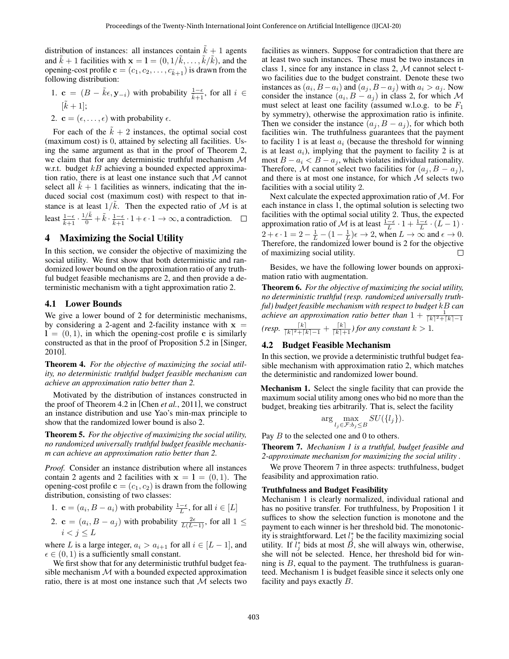distribution of instances: all instances contain  $\tilde{k} + 1$  agents and  $\tilde{k} + 1$  facilities with  $\mathbf{x} = 1 = (0, 1/\tilde{k}, \dots, \tilde{k}/\tilde{k})$ , and the opening-cost profile  $\mathbf{c} = (c_1, c_2, \dots, c_{k+1})$  is drawn from the following distribution:

- 1. **c** =  $(B \tilde{k} \epsilon, y_{-i})$  with probability  $\frac{1-\epsilon}{\tilde{k}+1}$ , for all  $i \in$  $[\tilde{k}+1];$
- 2.  $\mathbf{c} = (\epsilon, \dots, \epsilon)$  with probability  $\epsilon$ .

For each of the  $\tilde{k} + 2$  instances, the optimal social cost (maximum cost) is 0, attained by selecting all facilities. Using the same argument as that in the proof of Theorem [2,](#page-2-0) we claim that for any deterministic truthful mechanism  $M$ w.r.t. budget  $kB$  achieving a bounded expected approximation ratio, there is at least one instance such that  $M$  cannot select all  $k + 1$  facilities as winners, indicating that the induced social cost (maximum cost) with respect to that instance is at least  $1/\tilde{k}$ . Then the expected ratio of M is at least  $\frac{1-\epsilon}{\tilde{k}+1} \cdot \frac{1/\tilde{k}}{0} + \tilde{k} \cdot \frac{1-\epsilon}{\tilde{k}+1} \cdot 1 + \epsilon \cdot 1 \to \infty$ , a contradiction.

# 4 Maximizing the Social Utility

In this section, we consider the objective of maximizing the social utility. We first show that both deterministic and randomized lower bound on the approximation ratio of any truthful budget feasible mechanisms are 2, and then provide a deterministic mechanism with a tight approximation ratio 2.

#### 4.1 Lower Bounds

We give a lower bound of 2 for deterministic mechanisms, by considering a 2-agent and 2-facility instance with  $x =$  $l = (0, 1)$ , in which the opening-cost profile c is similarly constructed as that in the proof of Proposition 5.2 in [\[Singer,](#page-6-5) [2010\]](#page-6-5).

Theorem 4. *For the objective of maximizing the social utility, no deterministic truthful budget feasible mechanism can achieve an approximation ratio better than 2.*

Motivated by the distribution of instances constructed in the proof of Theorem 4.2 in [Chen *et al.*[, 2011\]](#page-6-17), we construct an instance distribution and use Yao's min-max principle to show that the randomized lower bound is also 2.

Theorem 5. *For the objective of maximizing the social utility, no randomized universally truthful budget feasible mechanism can achieve an approximation ratio better than 2.*

*Proof.* Consider an instance distribution where all instances contain 2 agents and 2 facilities with  $x = 1 = (0, 1)$ . The opening-cost profile  $\mathbf{c} = (c_1, c_2)$  is drawn from the following distribution, consisting of two classes:

1. 
$$
\mathbf{c} = (a_i, B - a_i)
$$
 with probability  $\frac{1-\epsilon}{L}$ , for all  $i \in [L]$ 

2. **c** =  $(a_i, B - a_j)$  with probability  $\frac{2\epsilon}{L(L-1)}$ , for all 1 ≤  $i < j \leq L$ 

where L is a large integer,  $a_i > a_{i+1}$  for all  $i \in [L-1]$ , and  $\epsilon \in (0, 1)$  is a sufficiently small constant.

We first show that for any deterministic truthful budget feasible mechanism  $M$  with a bounded expected approximation ratio, there is at most one instance such that  $M$  selects two facilities as winners. Suppose for contradiction that there are at least two such instances. These must be two instances in class 1, since for any instance in class 2, M cannot select two facilities due to the budget constraint. Denote these two instances as  $(a_i, B - a_i)$  and  $(a_j, B - a_j)$  with  $a_i > a_j$ . Now consider the instance  $(a_i, B - a_j)$  in class 2, for which M must select at least one facility (assumed w.l.o.g. to be  $F_1$ by symmetry), otherwise the approximation ratio is infinite. Then we consider the instance  $(a_j, B - a_j)$ , for which both facilities win. The truthfulness guarantees that the payment to facility 1 is at least  $a_i$  (because the threshold for winning is at least  $a_i$ ), implying that the payment to facility 2 is at most  $B - a_i < B - a_j$ , which violates individual rationality. Therefore, M cannot select two facilities for  $(a_j, B - a_j)$ , and there is at most one instance, for which  $M$  selects two facilities with a social utility 2.

Next calculate the expected approximation ratio of M. For each instance in class 1, the optimal solution is selecting two facilities with the optimal social utility 2. Thus, the expected approximation ratio of M is at least  $\frac{1-\epsilon}{L} \cdot 1 + \frac{1-\epsilon}{L} \cdot (L-1) \cdot$  $2 + \epsilon \cdot 1 = 2 - \frac{1}{L} - (1 - \frac{1}{L})\epsilon \rightarrow 2$ , when  $L \rightarrow \infty$  and  $\epsilon \rightarrow 0$ . Therefore, the randomized lower bound is 2 for the objective of maximizing social utility.  $\Box$ 

Besides, we have the following lower bounds on approximation ratio with augmentation.

Theorem 6. *For the objective of maximizing the social utility, no deterministic truthful (resp. randomized universally truthful) budget feasible mechanism with respect to budget* kB *can achieve an approximation ratio better than*  $1 + \frac{1}{\lceil k \rceil^2 + \lceil k \rceil - 1}$ *(resp.*  $\frac{[k]}{[k]^2 + [k]-1} + \frac{[k]}{[k]+1}$ *) for any constant*  $k > 1$ *.* 

#### 4.2 Budget Feasible Mechanism

In this section, we provide a deterministic truthful budget feasible mechanism with approximation ratio 2, which matches the deterministic and randomized lower bound.

Mechanism 1. Select the single facility that can provide the maximum social utility among ones who bid no more than the budget, breaking ties arbitrarily. That is, select the facility

$$
\arg\max_{l_j \in \mathcal{F}: b_j \leq B} SU(\lbrace l_j \rbrace).
$$

Pay *B* to the selected one and 0 to others.

<span id="page-3-0"></span>Theorem 7. *Mechanism 1 is a truthful, budget feasible and 2-approximate mechanism for maximizing the social utility .*

We prove Theorem [7](#page-3-0) in three aspects: truthfulness, budget feasibility and approximation ratio.

#### Truthfulness and Budget Feasibility

Mechanism 1 is clearly normalized, individual rational and has no positive transfer. For truthfulness, by Proposition [1](#page-2-1) it suffices to show the selection function is monotone and the payment to each winner is her threshold bid. The monotonicity is straightforward. Let  $l_j^*$  be the facility maximizing social utility. If  $\tilde{l}_j^*$  bids at most  $\tilde{B}$ , she will always win, otherwise, she will not be selected. Hence, her threshold bid for winning is  $B$ , equal to the payment. The truthfulness is guaranteed. Mechanism 1 is budget feasible since it selects only one facility and pays exactly B.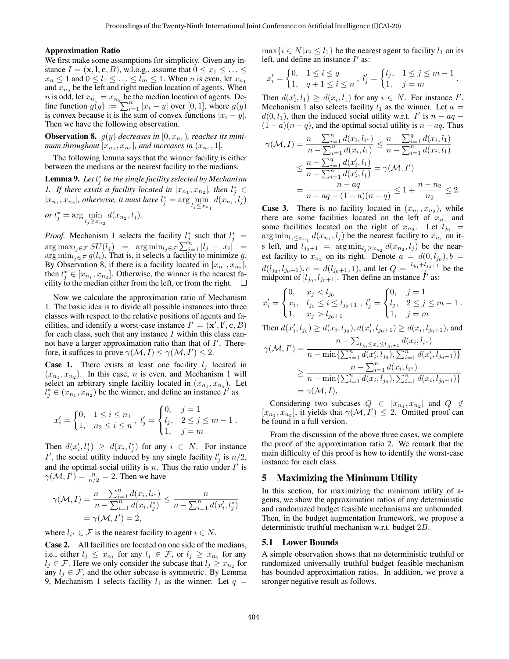#### Approximation Ratio

We first make some assumptions for simplicity. Given any instance  $I = (\mathbf{x}, \mathbf{l}, \mathbf{c}, B)$ , w.l.o.g., assume that  $0 \le x_1 \le ... \le$  $x_n \leq 1$  and  $0 \leq l_1 \leq \ldots \leq l_m \leq 1$ . When *n* is even, let  $x_{n_1}$ and  $x_{n_2}$  be the left and right median location of agents. When *n* is odd, let  $x_{n_1} = x_{n_2}$  be the median location of agents. Define function  $g(y) := \sum_{i=1}^{n} |x_i - y|$  over [0, 1], where  $g(y)$ is convex because it is the sum of convex functions  $|x_i - y|$ . Then we have the following observation.

<span id="page-4-0"></span>**Observation 8.**  $g(y)$  decreases in  $[0, x_{n_1})$ , reaches its minimum throughout  $[x_{n_1}, x_{n_2}]$ , and increases in  $(x_{n_2}, 1]$ .

The following lemma says that the winner facility is either between the medians or the nearest facility to the medians.

<span id="page-4-1"></span>Lemma 9. Let  $l_j^*$  be the single facility selected by Mechanism *1.* If there exists a facility located in  $[x_{n_1}, x_{n_2}]$ , then  $l_j^* \in$  $[x_{n_1}, x_{n_2}]$ , *otherwise*, *it must have*  $l_j^* = \arg\min_{l_j \leq x_{n_1}} d(x_{n_1}, l_j)$ *or* l ∗  $\ddotsc$ 

or 
$$
l_j^* = \arg \min_{l_j \ge x_{n_2}} d(x_{n_2}, l_j).
$$

*Proof.* Mechanism 1 selects the facility  $l_j^*$  such that  $l_j^*$  =  $\arg \max_{l_j \in \mathcal{F}} SU(l_j) = \arg \min_{l_j \in \mathcal{F}} \sum_{i=1}^n |l_j - x_i| =$ arg min<sub>lj</sub>∈ $\mathcal{F} g(l_i)$ . That is, it selects a facility to minimize g. By Observation [8,](#page-4-0) if there is a facility located in  $[x_{n_1}, x_{n_2}]$ , then  $l_j^* \in [x_{n_1}, x_{n_2}]$ . Otherwise, the winner is the nearest facility to the median either from the left, or from the right.  $\square$ 

Now we calculate the approximation ratio of Mechanism 1. The basic idea is to divide all possible instances into three classes with respect to the relative positions of agents and facilities, and identify a worst-case instance  $I' = (\mathbf{x}', \mathbf{l}', \mathbf{c}, B)$ for each class, such that any instance  $I$  within this class cannot have a larger approximation ratio than that of  $I'$ . Therefore, it suffices to prove  $\gamma(\mathcal{M}, I) \leq \gamma(\mathcal{M}, I') \leq 2$ .

**Case 1.** There exists at least one facility  $l_j$  located in  $(x_{n_1}, x_{n_2})$ . In this case, *n* is even, and Mechanism 1 will select an arbitrary single facility located in  $(x_{n_1}, x_{n_2})$ . Let  $l_j^* \in (x_{n_1}, x_{n_2})$  be the winner, and define an instance  $I'$  as

$$
x'_{i} = \begin{cases} 0, & 1 \leq i \leq n_{1} \\ 1, & n_{2} \leq i \leq n \end{cases}, l'_{j} = \begin{cases} 0, & j = 1 \\ l_{j}, & 2 \leq j \leq m - 1 \\ 1, & j = m \end{cases}.
$$

Then  $d(x'_i, l^*_j) \geq d(x_i, l^*_j)$  for any  $i \in N$ . For instance I', the social utility induced by any single facility  $l'_j$  is  $n/2$ , and the optimal social utility is *n*. Thus the ratio under  $I'$  is  $\gamma(\mathcal{M}, I') = \frac{n}{n/2} = 2$ . Then we have

$$
\gamma(\mathcal{M}, I) = \frac{n - \sum_{i=1}^{n} d(x_i, l_{i^*})}{n - \sum_{i=1}^{n} d(x_i, l_j^*)} \le \frac{n}{n - \sum_{i=1}^{n} d(x'_i, l_j^*)}
$$

$$
= \gamma(\mathcal{M}, I') = 2,
$$

where  $l_{i^*} \in \mathcal{F}$  is the nearest facility to agent  $i \in N$ .

Case 2. All facilities are located on one side of the medians, i.e., either  $l_j \leq x_{n_1}$  for any  $l_j \in \mathcal{F}$ , or  $l_j \geq x_{n_2}$  for any  $l_j \in \mathcal{F}$ . Here we only consider the subcase that  $l_j \geq x_{n_2}$  for any  $l_i \in \mathcal{F}$ , and the other subcase is symmetric. By Lemma [9,](#page-4-1) Mechanism 1 selects facility  $l_1$  as the winner. Let  $q =$ 

 $\max\{i \in N | x_i \leq l_1\}$  be the nearest agent to facility  $l_1$  on its left, and define an instance  $I'$  as:

$$
x'_{i} = \begin{cases} 0, & 1 \leq i \leq q \\ 1, & q+1 \leq i \leq n \end{cases}, l'_{j} = \begin{cases} l_{j}, & 1 \leq j \leq m-1 \\ 1, & j=m \end{cases}
$$

.

Then  $d(x'_i, l_1) \ge d(x_i, l_1)$  for any  $i \in N$ . For instance I', Mechanism 1 also selects facility  $l_1$  as the winner. Let  $a =$  $d(0, l_1)$ , then the induced social utility w.r.t. I' is  $n - aq$  $(1 - a)(n - q)$ , and the optimal social utility is  $n - aq$ . Thus

$$
\gamma(\mathcal{M}, I) = \frac{n - \sum_{i=1}^{n} d(x_i, l_{i^*})}{n - \sum_{i=1}^{n} d(x_i, l_1)} \le \frac{n - \sum_{i=1}^{q} d(x_i, l_1)}{n - \sum_{i=1}^{n} d(x_i, l_1)} \le \frac{n - \sum_{i=1}^{q} d(x'_i, l_1)}{n - \sum_{i=1}^{n} d(x'_i, l_1)} = \gamma(\mathcal{M}, I')
$$

$$
= \frac{n - aq}{n - aq - (1 - a)(n - q)} \le 1 + \frac{n - n_2}{n_2} \le 2.
$$

**Case 3.** There is no facility located in  $(x_{n_1}, x_{n_2})$ , while there are some facilities located on the left of  $x_{n_1}$  and some facilities located on the right of  $x_{n_2}$ . Let  $l_{j_0}$  =  $\arg \min_{l_j \leq x_{n_1}} d(x_{n_1}, l_j)$  be the nearest facility to  $x_{n_1}$  on its left, and  $l_{j_0+1}$  =  $\arg \min_{l_j \geq x_{n_2}} d(x_{n_2}, l_j)$  be the nearest facility to  $x_{n_2}$  on its right. Denote  $a = d(0, l_{j_0}), b =$  $d(l_{j_0}, l_{j_0+1}), c = d(l_{j_0+1}, 1)$ , and let  $Q = \frac{l_{j_0} + l_{j_0+1}}{2}$  be the midpoint of  $[l_{j_0}, l_{j_0+1}]$ . Then define an instance  $\tilde{I}'$  as:

$$
x'_{i} = \begin{cases} 0, & x_{j} < l_{j_{0}} \\ x_{i}, & l_{j_{0}} \leq i \leq l_{j_{0}+1} \\ 1, & x_{j} > l_{j_{0}+1} \end{cases}, \ l'_{j} = \begin{cases} 0, & j = 1 \\ l_{j}, & 2 \leq j \leq m-1 \\ 1, & j = m \end{cases}.
$$

Then 
$$
d(x'_i, l_{j_0}) \ge d(x_i, l_{j_0}), d(x'_i, l_{j_0+1}) \ge d(x_i, l_{j_0+1}),
$$
 and

$$
\gamma(\mathcal{M}, I') = \frac{n - \sum_{l_{j_0} \le x_i \le l_{j_0+1}} d(x_i, l_{i^*})}{n - \min\{\sum_{i=1}^n d(x'_i, l_{j_0}), \sum_{i=1}^n d(x'_i, l_{j_0+1})\}}
$$
  
\n
$$
\ge \frac{n - \sum_{i=1}^n d(x_i, l_{i^*})}{n - \min\{\sum_{i=1}^n d(x_i, l_{j_0}), \sum_{i=1}^n d(x_i, l_{j_0+1})\}}
$$
  
\n
$$
= \gamma(\mathcal{M}, I),
$$

Considering two subcases  $Q \in [x_{n_1}, x_{n_2}]$  and  $Q \notin$  $[x_{n_1}, x_{n_2}]$ , it yields that  $\gamma(\mathcal{M}, I') \leq 2$ . Omitted proof can be found in a full version.

From the discussion of the above three cases, we complete the proof of the approximation ratio 2. We remark that the main difficulty of this proof is how to identify the worst-case instance for each class.

### 5 Maximizing the Minimum Utility

In this section, for maximizing the minimum utility of agents, we show the approximation ratios of any deterministic and randomized budget feasible mechanisms are unbounded. Then, in the budget augmentation framework, we propose a deterministic truthful mechanism w.r.t. budget 2B.

#### 5.1 Lower Bounds

<span id="page-4-2"></span>A simple observation shows that no deterministic truthful or randomized universally truthful budget feasible mechanism has bounded approximation ratios. In addition, we prove a stronger negative result as follows.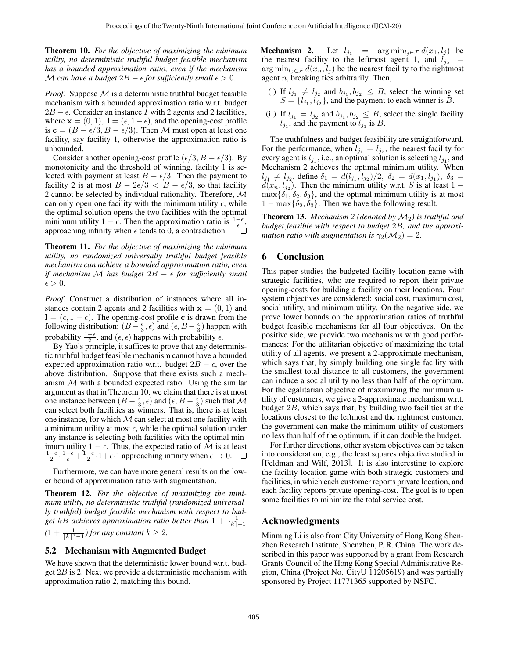Theorem 10. *For the objective of maximizing the minimum utility, no deterministic truthful budget feasible mechanism has a bounded approximation ratio, even if the mechanism* M can have a budget  $2B - \epsilon$  for sufficiently small  $\epsilon > 0$ .

*Proof.* Suppose M is a deterministic truthful budget feasible mechanism with a bounded approximation ratio w.r.t. budget  $2B - \epsilon$ . Consider an instance I with 2 agents and 2 facilities, where  $\mathbf{x} = (0, 1), \mathbf{l} = (\epsilon, 1 - \epsilon)$ , and the opening-cost profile is  $c = (B - \epsilon/3, B - \epsilon/3)$ . Then M must open at least one facility, say facility 1, otherwise the approximation ratio is unbounded.

Consider another opening-cost profile ( $\epsilon/3$ ,  $B - \epsilon/3$ ). By monotonicity and the threshold of winning, facility 1 is selected with payment at least  $B - \epsilon/3$ . Then the payment to facility 2 is at most  $B - 2\epsilon/3 < B - \epsilon/3$ , so that facility 2 cannot be selected by individual rationality. Therefore, M can only open one facility with the minimum utility  $\epsilon$ , while the optimal solution opens the two facilities with the optimal minimum utility 1 –  $\epsilon$ . Then the approximation ratio is  $\frac{1-\epsilon}{\epsilon}$ . approaching infinity when  $\epsilon$  tends to 0, a contradiction.

Theorem 11. *For the objective of maximizing the minimum utility, no randomized universally truthful budget feasible mechanism can achieve a bounded approximation ratio, even if mechanism* M *has budget*  $2B - \epsilon$  *for sufficiently small*  $\epsilon > 0$ .

*Proof.* Construct a distribution of instances where all instances contain 2 agents and 2 facilities with  $x = (0, 1)$  and  $l = (\epsilon, 1 - \epsilon)$ . The opening-cost profile c is drawn from the following distribution:  $(B - \frac{\epsilon}{3}, \epsilon)$  and  $(\epsilon, B - \frac{\epsilon}{3})$  happen with probability  $\frac{1-\epsilon}{2}$ , and  $(\epsilon, \epsilon)$  happens with probability  $\epsilon$ .

By Yao's principle, it suffices to prove that any deterministic truthful budget feasible mechanism cannot have a bounded expected approximation ratio w.r.t. budget  $2B - \epsilon$ , over the above distribution. Suppose that there exists such a mechanism  $M$  with a bounded expected ratio. Using the similar argument as that in Theorem [10,](#page-4-2) we claim that there is at most one instance between  $(B - \frac{\epsilon}{3}, \epsilon)$  and  $(\epsilon, B - \frac{\epsilon}{3})$  such that M can select both facilities as winners. That is, there is at least one instance, for which  $M$  can select at most one facility with a minimum utility at most  $\epsilon$ , while the optimal solution under any instance is selecting both facilities with the optimal minimum utility  $1 - \epsilon$ . Thus, the expected ratio of M is at least  $\frac{1-\epsilon}{2} \cdot \frac{1-\epsilon}{\epsilon} + \frac{1-\epsilon}{2} \cdot 1 + \epsilon \cdot 1$  approaching infinity when  $\epsilon \to 0$ .

Furthermore, we can have more general results on the lower bound of approximation ratio with augmentation.

Theorem 12. *For the objective of maximizing the minimum utility, no deterministic truthful (randomized universally truthful) budget feasible mechanism with respect to bud*get kB achieves approximation ratio better than  $1 + \frac{1}{\lceil k \rceil - 1}$  $(1 + \frac{1}{\lceil k \rceil^2 - 1})$  for any constant  $k \geq 2$ .

#### 5.2 Mechanism with Augmented Budget

We have shown that the deterministic lower bound w.r.t. budget  $2B$  is 2. Next we provide a deterministic mechanism with approximation ratio 2, matching this bound.

**Mechanism 2.** Let  $l_{j_1}$  = arg min $l_{i \in \mathcal{F}} d(x_1, l_j)$  be the nearest facility to the leftmost agent 1, and  $l_{j_2}$  =  $\arg \min_{l_i \in \mathcal{F}} d(x_n, l_i)$  be the nearest facility to the rightmost agent  $n$ , breaking ties arbitrarily. Then,

- (i) If  $l_{j_1} \neq l_{j_2}$  and  $b_{j_1}, b_{j_2} \leq B$ , select the winning set  $S = \{l_{j_1}, l_{j_2}\}\$ , and the payment to each winner is B.
- (ii) If  $l_{j_1} = l_{j_2}$  and  $b_{j_1}, b_{j_2} \leq B$ , select the single facility  $l_{j_1}$ , and the payment to  $l_{j_1}$  is  $B$ .

The truthfulness and budget feasibility are straightforward. For the performance, when  $l_{j_1} = l_{j_2}$ , the nearest facility for every agent is  $l_{j_1}$ , i.e., an optimal solution is selecting  $l_{j_1}$ , and Mechanism 2 achieves the optimal minimum utility. When  $l_{j_1} \neq l_{j_2}$ , define  $\delta_1 = d(l_{j_1}, l_{j_2})/2$ ,  $\delta_2 = d(x_1, l_{j_1})$ ,  $\delta_3 =$  $d(x_n, l_{j_2})$ . Then the minimum utility w.r.t. S is at least 1 –  $\max{\{\delta_1, \delta_2, \delta_3\}}$ , and the optimal minimum utility is at most  $1 - \max{\delta_2, \delta_3}$ . Then we have the following result.

**Theorem 13.** *Mechanism 2 (denoted by*  $M_2$ ) *is truthful and budget feasible with respect to budget* 2B*, and the approximation ratio with augmentation is*  $\gamma_2(\mathcal{M}_2) = 2$ .

# 6 Conclusion

This paper studies the budgeted facility location game with strategic facilities, who are required to report their private opening-costs for building a facility on their locations. Four system objectives are considered: social cost, maximum cost, social utility, and minimum utility. On the negative side, we prove lower bounds on the approximation ratios of truthful budget feasible mechanisms for all four objectives. On the positive side, we provide two mechanisms with good performances: For the utilitarian objective of maximizing the total utility of all agents, we present a 2-approximate mechanism, which says that, by simply building one single facility with the smallest total distance to all customers, the government can induce a social utility no less than half of the optimum. For the egalitarian objective of maximizing the minimum utility of customers, we give a 2-approximate mechanism w.r.t. budget 2B, which says that, by building two facilities at the locations closest to the leftmost and the rightmost customer, the government can make the minimum utility of customers no less than half of the optimum, if it can double the budget.

For further directions, other system objectives can be taken into consideration, e.g., the least squares objective studied in [\[Feldman and Wilf, 2013\]](#page-6-23). It is also interesting to explore the facility location game with both strategic customers and facilities, in which each customer reports private location, and each facility reports private opening-cost. The goal is to open some facilities to minimize the total service cost.

# Acknowledgments

Minming Li is also from City University of Hong Kong Shenzhen Research Institute, Shenzhen, P. R. China. The work described in this paper was supported by a grant from Research Grants Council of the Hong Kong Special Administrative Region, China (Project No. CityU 11205619) and was partially sponsored by Project 11771365 supported by NSFC.